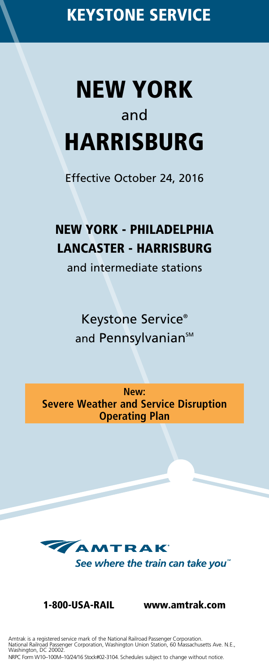# **NEW YORK** and **HARRISBURG**

Effective October 24, 2016

# **NEW YORK - PHILADELPHIA LANCASTER - HARRISBURG**

and intermediate stations

Keystone Service® and Pennsylvanian<sup>SM</sup>

**New: Severe Weather and Service Disruption Operating Plan**



**1-800-USA-RAIL www.amtrak.com**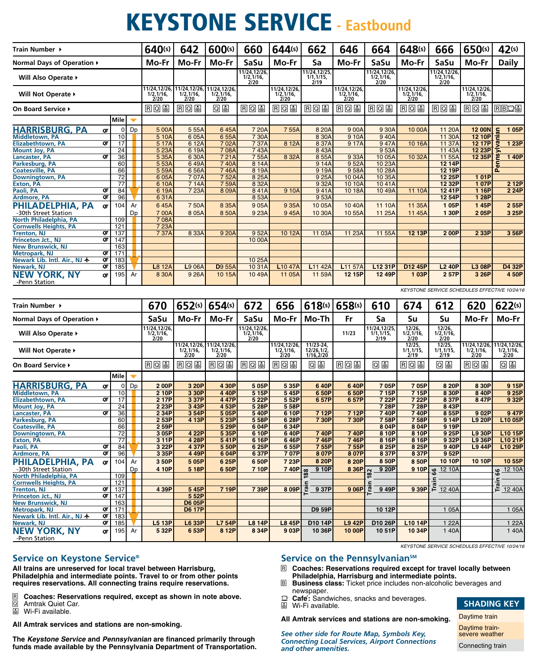# **KEYSTONE SERVICE - Eastbound**

| Train Number →                                            |                 |    | 640(s)                                       | 642                                              | 600(s)                                                     | 660                                             | 644(s)                                           | 662                                    | 646                                             | 664                                             | 648(s)                                           | 666                                                            | 650(s)                                           | 42(s)                                            |
|-----------------------------------------------------------|-----------------|----|----------------------------------------------|--------------------------------------------------|------------------------------------------------------------|-------------------------------------------------|--------------------------------------------------|----------------------------------------|-------------------------------------------------|-------------------------------------------------|--------------------------------------------------|----------------------------------------------------------------|--------------------------------------------------|--------------------------------------------------|
| Normal Days of Operation ▶                                |                 |    | Mo-Fr                                        | Mo-Fr                                            | Mo-Fr                                                      | SaSu                                            | Mo-Fr                                            | Sa                                     | Mo-Fr                                           | SaSu                                            | Mo-Fr                                            | SaSu                                                           | Mo-Fr                                            | <b>Daily</b>                                     |
| Will Also Operate ▶                                       |                 |    |                                              |                                                  |                                                            | 11/24,12/26,<br>1/2,1/16,<br>2/20               |                                                  | 11/24, 12/25,<br>1/1, 1/15,<br>2/19    |                                                 | 11/24,12/26,<br>$\frac{1}{2}$ , 1/16,           |                                                  | 11/24,12/26,<br>$\frac{1}{2}$ , $\frac{1}{16}$ , $\frac{2}{2}$ |                                                  |                                                  |
| Will Not Operate ▶                                        |                 |    | 11/24, 12/26,<br>1/2, 1/16,<br>2/20          | 11/24,12/26,<br>$\frac{1}{2}$ , $\frac{1}{16}$ , | 11/24, 12/26,<br>$\frac{1}{2}$ , 1/16,                     |                                                 | 11/24,12/26,<br>$\frac{1}{2}$ , $\frac{1}{16}$ , |                                        | 11/24,12/26<br>$\frac{1}{2}$ , $\frac{1}{16}$ , |                                                 | 11/24,12/26,<br>$\frac{1}{2}$ , $\frac{1}{16}$ , |                                                                | 11/24,12/26,<br>$\frac{1}{2}$ , $\frac{1}{16}$ , |                                                  |
| On Board Service ▶                                        |                 |    | RQ                                           | RQ                                               | 回国                                                         | 因回国                                             | <u>ros</u>                                       | RQ                                     | <b>RQS</b>                                      | $R$ Q &                                         | RQU                                              | <b>RQU</b>                                                     | <b>RQS</b>                                       | RBDS                                             |
|                                                           | Mile            | ◥  |                                              |                                                  |                                                            |                                                 |                                                  |                                        |                                                 |                                                 |                                                  |                                                                |                                                  |                                                  |
| <u>HARRISBURG, PA</u><br>QT                               | 0               | Dp | 5 00A                                        | 555A                                             | 645A                                                       | 7 20A                                           | 755A                                             | 8 20A                                  | 9 00A                                           | 9 30A                                           | 10 00A                                           | 11 20A                                                         | <b>12 00N</b>                                    | 105P                                             |
| Middletown, PA                                            | 10              |    | 5 10A                                        | 6 05A                                            | 655A                                                       | 7 30A                                           |                                                  | 8 30A                                  | 9 10A                                           | 940A                                            |                                                  | 11 30A                                                         | 12 10P                                           |                                                  |
| QT<br>Elizabethtown, PA<br><b>Mount Joy, PA</b>           | 17<br>24        |    | 5 17A<br>5 23A                               | 6 12A<br>6 19A                                   | 702A<br>708A                                               | 7 37A<br>743A                                   | 8 12A                                            | 8 37A<br>843A                          | 9 17A                                           | 947A<br>953A                                    | 10 16A                                           | 11 37A<br>11 43A                                               | 12 17P<br>12 23P                                 | 1 23P                                            |
| QΓ<br><b>Lancaster, PA</b>                                | 36              |    | 5 35A                                        | 6 30A                                            | 721A                                                       | 755A                                            | 8 32A                                            | 855A                                   | 9 33A                                           | 10 05A                                          | 10 32A                                           | 11 55A                                                         | 12 35P                                           | 140P                                             |
| Parkesburg, PA                                            | 60              |    | 5 53A                                        | 649A                                             | 740A                                                       | 8 14A                                           |                                                  | 9 14A                                  | 952A                                            | 10 23A                                          |                                                  | 12 14P                                                         |                                                  |                                                  |
| <b>Coatesville, PA</b>                                    | 66              |    | 5 59A                                        | 656A                                             | 746A                                                       | 8 19A                                           |                                                  | 9 19A                                  | 958A                                            | 10 28A                                          |                                                  | 12 19P                                                         |                                                  | ؋                                                |
| <b>Downingtown, PA</b>                                    | 72              |    | 6 05A                                        | 707A                                             | 752A                                                       | 8 25A                                           |                                                  | 9 25A                                  | 1004A                                           | 10 35A                                          |                                                  | 12 25P                                                         | 101P                                             |                                                  |
| <b>Exton, PA</b>                                          | $\overline{77}$ |    | 610A                                         | 714A                                             | 759A                                                       | 8 32A                                           |                                                  | 9 32A                                  | 10 10A                                          | 1041A                                           |                                                  | 12 32P                                                         | 107P                                             | 2 12P                                            |
| Paoli, PA<br>QT<br>QT<br><b>Ardmore, PA</b>               | 84<br>96        |    | 6 19A<br>631A                                | 7 23A                                            | 809A                                                       | 841A<br>853A                                    | 9 10A                                            | 941A<br>953A                           | 10 18A                                          | 10 49A                                          | 11 10A                                           | 12 41P<br>12 54P                                               | 1 16P<br>1 28P                                   | 2 24P                                            |
| PHILADELPHIA, PA                                          | 104             | Ar | 645A                                         | 750A                                             | 8 35A                                                      | 905A                                            | 9 35A                                            | 10 05A                                 | 10 40A                                          | 11 10A                                          | 11 35A                                           | 105P                                                           | 145P                                             | 255P                                             |
| ΟΤ<br>-30th Street Station                                |                 | Dp | 700A                                         | 8 0 5 A                                          | 8 50A                                                      | 9 23A                                           | 945A                                             | 10 30A                                 | 10 55A                                          | 11 25A                                          | 11 45A                                           | 1 30P                                                          | 205P                                             | 3 25P                                            |
| North Philadelphia, PA                                    | 109             |    | 708A                                         |                                                  |                                                            |                                                 |                                                  |                                        |                                                 |                                                 |                                                  |                                                                |                                                  |                                                  |
| <b>Cornwells Heights, PA</b>                              | 121             |    | 7 23A                                        |                                                  |                                                            |                                                 |                                                  |                                        |                                                 |                                                 |                                                  |                                                                |                                                  |                                                  |
| QT<br><b>Trenton, NJ</b>                                  | 137             |    | 7 37A                                        | 8 3 3 A                                          | 9 20A                                                      | 952A                                            | 10 12A                                           | 11 03A                                 | 11 23A                                          | 11 55A                                          | 12 13P                                           | 200P                                                           | 2 33P                                            | 356P                                             |
| QT<br>Princeton Jct., NJ                                  | 147             |    |                                              |                                                  |                                                            | 10 00A                                          |                                                  |                                        |                                                 |                                                 |                                                  |                                                                |                                                  |                                                  |
| <b>New Brunswick, NJ</b>                                  | 163             |    |                                              |                                                  |                                                            |                                                 |                                                  |                                        |                                                 |                                                 |                                                  |                                                                |                                                  |                                                  |
| Metropark, NJ<br>QT<br>Newark Lib. Intl. Air., NJ 卡<br>QT | 171<br>183      |    |                                              |                                                  |                                                            | 10 25A                                          |                                                  |                                        |                                                 |                                                 |                                                  |                                                                |                                                  |                                                  |
| Newark, NJ<br>QT                                          | 185             |    | L8 12A                                       | L9 06A                                           | <b>D</b> 9 55A                                             | 10 31A                                          | L10 47A                                          | L11 42A                                | L11 57A                                         | L12 31P                                         | D12 45P                                          | <b>L2 40P</b>                                                  | L3 08P                                           | D4 32P                                           |
| <b>NEW YORK, NY</b><br>QT                                 | 195             | Ar | 8 30A                                        | 9 26A                                            | 10 15A                                                     | 10 49A                                          | 11 05A                                           | 11 59A                                 | 12 15P                                          | 12 49P                                          | 103P                                             | 257P                                                           | 3 26P                                            | 450P                                             |
| -Penn Station                                             |                 |    |                                              |                                                  |                                                            |                                                 |                                                  |                                        |                                                 |                                                 |                                                  | KEYSTONE SERVICE SCHEDULES EFFECTIVE 10/24/16                  |                                                  |                                                  |
|                                                           |                 |    |                                              |                                                  |                                                            |                                                 |                                                  |                                        |                                                 |                                                 |                                                  |                                                                |                                                  |                                                  |
|                                                           |                 |    |                                              |                                                  |                                                            |                                                 |                                                  |                                        |                                                 |                                                 |                                                  |                                                                |                                                  |                                                  |
| Train Number →                                            |                 |    | 670                                          | 652(s)                                           | 654(s)                                                     | 672                                             | 656                                              | 618(s)                                 | 658(s)                                          | 610                                             | 674                                              | 612                                                            | 620                                              | 622(s)                                           |
| Normal Days of Operation ▶                                |                 |    | SaSu                                         | Mo-Fr                                            | Mo-Fr                                                      | SaSu                                            | Mo-Fr                                            | Mo-Th                                  | Fr                                              | Sa                                              | Su                                               | Su                                                             | Mo-Fr                                            | Mo-Fr                                            |
| Will Also Operate ▶                                       |                 |    | 11/24,12/26<br>$\frac{1}{2}$ , 1/16,<br>2/20 |                                                  |                                                            | 11/24,12/26<br>$\frac{1}{2}$ , $\frac{1}{16}$ , |                                                  |                                        | 11/23                                           | 11/24,12/25<br>$\frac{1}{1}$ , $\frac{1}{19}$ , | 12/26,<br>$\frac{1}{2}$ , $\frac{1}{16}$ ,       | 12/26,<br>$\frac{1}{2}$ , 1/16,                                |                                                  |                                                  |
| Will Not Operate ▶                                        |                 |    |                                              | $\frac{1}{2}$ , 1/16,<br>2/20                    | 11/24,12/26, 11/24,12/26,<br>$\frac{1}{2}$ , 1/16,<br>2/20 |                                                 | 11/24,12/26,<br>$\frac{1}{2}$ , 1/16,<br>2/20    | 11/23-24,<br>12/26, 1/2,<br>1/16, 2/20 |                                                 |                                                 | 12/25,<br>$\frac{1}{1}$ , $\frac{1}{19}$ ,       | 12/25,<br>$\frac{1}{1}$ , $\frac{1}{19}$ ,                     | 11/24,12/26,<br>$\frac{1}{2}$ , $\frac{1}{16}$ , | 11/24,12/26,<br>$\frac{1}{2}$ , $\frac{1}{16}$ , |
| On Board Service ▶                                        |                 |    | RQ                                           | RQ                                               | RQ                                                         | 因回国                                             | RQ                                               | 回国                                     | RQ                                              | 回国                                              | RQU                                              | 回国                                                             | 国回国                                              | 09                                               |
|                                                           | <b>Mile</b>     |    |                                              |                                                  |                                                            |                                                 |                                                  |                                        |                                                 |                                                 |                                                  |                                                                |                                                  |                                                  |
|                                                           | 0               | Dp | 200P                                         | 3 20P                                            | 4 30P                                                      | 5 05P                                           | 5 35P                                            | 640P                                   | 640P                                            | 705P                                            | 705P                                             | 8 20P                                                          | 8 30P                                            | 915P                                             |
| <b>HARRISBURG, PA</b><br>QT<br>Middletown, PA             | 10              |    | 2 10P                                        | 3 30P                                            | 4 40P                                                      | 5 15P                                           | 545P                                             | 650P                                   | 6 50P                                           | 7 15P                                           | 7 15P                                            | 8 30P                                                          | 8 40P                                            | 9 25P                                            |
| QT<br><b>Elizabethtown, PA</b>                            | 17              |    | 2 17P                                        | 3 37P                                            | 447P                                                       | 5 22P                                           | 5 52P                                            | 657P                                   | 657P                                            | 7 22P                                           | 7 22P                                            | 8 37P                                                          | 847P                                             | 9 32P                                            |
| <b>Mount Joy, PA</b>                                      | 24              |    | 2 23P                                        | 3 43P                                            | 453P                                                       | 5 28P                                           | 558P                                             |                                        |                                                 | 7 28P                                           | 7 28P                                            | 8 43P                                                          |                                                  |                                                  |
| QΤ<br><b>Lancaster, PA</b>                                | 36              |    | 2 34P                                        | 354P                                             | 505P                                                       | 540P                                            | 6 10P                                            | 712P                                   | 712P                                            | 740P                                            | 740P                                             | 855P                                                           | 902P                                             | 947P                                             |
| Parkesburg, PA                                            | 60              |    | 2 53P                                        | 4 13P                                            | 5 23P                                                      | 5 58P                                           | 628P                                             | 730P                                   | 7 30P                                           | 758P                                            | 758P                                             | 914P                                                           | <b>L9 20P</b>                                    | L10 05P                                          |
| <b>Coatesville, PA</b>                                    | 66<br>72        |    | 2 59P                                        | 4 22P                                            | 5 29P                                                      | 604P<br>6 10P                                   | 6 34P<br>640P                                    | 740P                                   | 740P                                            | 804P<br>8 10P                                   | 8 04P<br>8 10P                                   | 9 19P                                                          | <b>L9 30P</b>                                    |                                                  |
| Downingtown, PA<br><b>Exton, PA</b>                       | 77              |    | 3 05P<br>311P                                | 4 28P                                            | 5 35P<br>541P                                              | 616P                                            | 646P                                             | 746P                                   | 746P                                            | 8 16P                                           | 8 16P                                            | 9 25P<br>9 32P                                                 | <b>L9 36P</b>                                    | L10 15P<br>L10 21P                               |
| Paoli, PA<br>Qī                                           | 84              |    | 3 22P                                        | 437P                                             | 5 50P                                                      | 6 25P                                           | 655P                                             | 755P                                   | 755P                                            | 8 25P                                           | 8 25P                                            | 940P                                                           | <b>L9 44P</b>                                    | L10 29P                                          |
| <b>Ardmore, PA</b><br>QT                                  | 96              |    | 3 35P                                        | 449P                                             | 604P                                                       | 6 37P                                           | 707P                                             | 807P                                   | 8 07P                                           | 837P                                            | 837P                                             | 952P                                                           |                                                  |                                                  |
| PHILADELPHIA, PA<br>oτl                                   | 104             | Ar | 3 50P                                        | 505P                                             | 625P                                                       | 650P                                            | 7 23P                                            | 8 20P                                  | 8 20P                                           | 8 50P                                           | 8 50P                                            | 10 10P                                                         | 10 10P                                           | 10 55P                                           |
| -30th Street Station                                      |                 | Dp | 4 10P                                        | 5 18P                                            | 650P                                                       | 7 10P                                           | 740P                                             | 9 10P                                  | 8 36P                                           | 9 20P                                           |                                                  |                                                                |                                                  |                                                  |
| North Philadelphia, PA                                    | 109             |    |                                              |                                                  |                                                            |                                                 |                                                  | 88                                     |                                                 | 82                                              |                                                  | 0 10P g 12 10A                                                 |                                                  | g 12 10A                                         |
| <b>Cornwells Heights, PA</b>                              | 121             |    |                                              |                                                  |                                                            |                                                 |                                                  |                                        |                                                 |                                                 |                                                  |                                                                |                                                  |                                                  |
| Trenton, NJ<br>QT<br>QT<br>Princeton Jct., NJ             | 137<br>147      |    | 4 39P                                        | 545P<br>5 52P                                    | 7 19P                                                      | 7 39P                                           | 8 09P                                            | Γā<br>9 37P                            | 9 06P                                           | Ē<br>949P                                       |                                                  | $\frac{1}{9}$ 39P $\frac{1}{1}$ 12 40A                         |                                                  | $\frac{1}{2}$                                    |
| <b>New Brunswick, NJ</b>                                  | 163             |    |                                              | <b>D6 05P</b>                                    |                                                            |                                                 |                                                  |                                        |                                                 |                                                 |                                                  |                                                                |                                                  |                                                  |
| Metropark, NJ<br>QT                                       | 171             |    |                                              | <b>D6 17P</b>                                    |                                                            |                                                 |                                                  | D9 59P                                 |                                                 | 10 12P                                          |                                                  | 1 05A                                                          |                                                  | 1 05A                                            |
| Newark Lib. Intl. Air., NJ $\bigstar$<br>QT               | 183             |    |                                              |                                                  |                                                            |                                                 |                                                  |                                        |                                                 |                                                 |                                                  |                                                                |                                                  |                                                  |
| Newark, NJ<br>QT<br><b>NEW YORK, NY</b><br>QT             | 185<br>195      | Ar | L5 13P<br>5 32P                              | L6 33P<br>653P                                   | L7 54P<br>8 12P                                            | <b>L8 14P</b><br>8 34P                          | <b>L8 45P</b><br>903P                            | D10 14P<br>10 36P                      | <b>L9 42P</b><br>10 00P                         | D10 26P<br>10 51P                               | L10 14P<br>10 34P                                | 1 22A<br>1 40A                                                 |                                                  | 1 22A<br>140A                                    |

**Service on Keystone Service®**

**All trains are unreserved for local travel between Harrisburg, Philadelphia and intermediate points. Travel to or from other points requires reservations. All connecting trains require reservations.**

- R **Coaches: Reservations required, except as shown in note above.**
- Q Amtrak Quiet Car. **a Coaches: Rese**<br> **a** Amtrak Quiet C<br> **a** Wi-Fi available.
- 

**All Amtrak services and stations are non-smoking.**

**The Keystone Service and Pennsylvanian are financed primarily through funds made available by the Pennsylvania Department of Transportation.**

### Service on the Pennsylvanian<sup>SM</sup>

- R **Coaches: Reservations required except for travel locally between Philadelphia, Harrisburg and intermediate points.**
- B **Business class:** Ticket price includes non-alcoholic beverages and newspaper.
- $\mathbb{D}$  **Cafe**: Sandwiches, snacks and beverages.
- å Wi-Fi available.

**All Amtrak services and stations are non-smoking.**

*See other side for Route Map, Symbols Key, Connecting Local Services, Airport Connections and other amenities.*

# **SHADING KEY**

Daytime train Daytime trainsevere weather Connecting train

KEYSTONE SERVICE SCHEDULES EFFECTIVE 10/24/16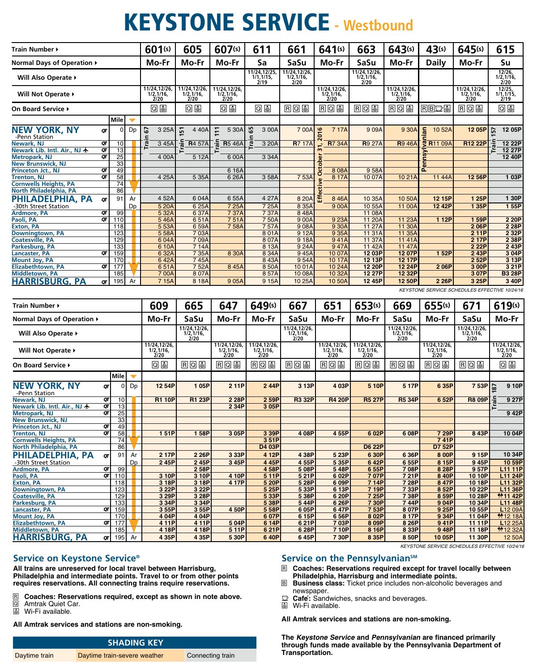# **KEYSTONE SERVICE - Westbound**

| Train Number ▶                                                      |          |             |    | 601(s)                              | 605                                 | 607(s)                             | 611                                     | 661                                               | 641(s)                                           | 663                                    | 643(s)                                           | 43(s)                                                 | 645(s)                                           | 615                                     |
|---------------------------------------------------------------------|----------|-------------|----|-------------------------------------|-------------------------------------|------------------------------------|-----------------------------------------|---------------------------------------------------|--------------------------------------------------|----------------------------------------|--------------------------------------------------|-------------------------------------------------------|--------------------------------------------------|-----------------------------------------|
| Normal Days of Operation ▶                                          |          |             |    | Mo-Fr                               | Mo-Fr                               | Mo-Fr                              | Sa                                      | SaSu                                              | Mo-Fr                                            | SaSu                                   | Mo-Fr                                            | <b>Daily</b>                                          | Mo-Fr                                            | Su                                      |
| Will Also Operate ▶                                                 |          |             |    |                                     |                                     |                                    | 11/24, 12/25,<br>1/1, 1/15,<br>2/19     | 11/24, 12/26,<br>$\frac{1}{2}$ , $\frac{1}{16}$ , |                                                  | 11/24,12/26,<br>$\frac{1}{2}$ , 1/16,  |                                                  |                                                       |                                                  | 12/26,<br>$\frac{1}{2}$ , 1/16,<br>2/20 |
| Will Not Operate ▶                                                  |          |             |    | 11/24,12/26,<br>1/2,1/16,<br>2/20   | 11/24,12/26,<br>1/2, 1/16,<br>2/20  | 11/24,12/26,<br>1/2, 1/16,<br>2/20 |                                         |                                                   | 11/24,12/26,<br>$\frac{1}{2}$ , $\frac{1}{16}$ , |                                        | 11/24,12/26,<br>$\frac{1}{2}$ , $\frac{1}{16}$ , |                                                       | 11/24,12/26,<br>$\frac{1}{2}$ , $\frac{1}{16}$ , | 12/25,<br>1/1, 1/15,<br>2/19            |
| On Board Service ▶                                                  |          |             | Q⊌ | 回圖                                  | 回国                                  | 09                                 | 日口园                                     | <u>ros</u>                                        | <u>ros</u>                                       | RQ                                     | <u>rbds</u>                                      | RQU                                                   | 回图                                               |                                         |
|                                                                     |          | <b>Mile</b> |    |                                     |                                     |                                    |                                         |                                                   |                                                  |                                        |                                                  |                                                       |                                                  |                                         |
| <b>NEW YORK, NY</b><br>-Penn Station                                | QT       | 0           | Dp | 5<br>3 25A                          | 4 4 0 A<br>57                       | $\ddot{ }$<br>5 30A                | 59<br>3 00A                             | 700A                                              | 016<br>7 17A                                     | 909A                                   | 9 30A                                            | an<br>10 52A                                          | 12 05P                                           | 12 05P<br>5                             |
| Newark, NJ<br>Newark Lib. Intl. Air., NJ $\bigstar$                 | QT<br>QT | 10<br>13    |    | ē<br>345A                           | <b>R</b> 4 57A                      | <b>R</b> 5 46A                     | ē<br>3 20A                              | R7 17A                                            | <b>R7 34A</b>                                    | <b>R</b> 9 27A                         | <b>R</b> 946A                                    | g<br>R11 09A                                          | R12 22P                                          | 12 22P<br>12 27P                        |
| Metropark, NJ<br>New Brunswick, NJ                                  | QT       | 25<br>33    |    | 4 00A                               | 5 12A                               | 6 00A                              | 3 34A                                   |                                                   |                                                  |                                        |                                                  | 孟                                                     |                                                  | 12 40P                                  |
| Princeton Jct., NJ                                                  | QT       | 49          |    |                                     |                                     | 6 16A                              |                                         |                                                   | 808A                                             | 958A                                   |                                                  | ھے                                                    |                                                  |                                         |
| Trenton, NJ                                                         | QT       | 58          |    | 4 25A                               | 5 35A                               | 6 26A                              | 3 58A                                   | 753A                                              | Ó<br>8 17A                                       | 10 07A                                 | 1021A                                            | 11 44A                                                | 12 56P                                           | 1 03P                                   |
| <b>Cornwells Heights, PA</b>                                        |          | 74          |    |                                     |                                     |                                    |                                         |                                                   |                                                  |                                        |                                                  |                                                       |                                                  |                                         |
| North Philadelphia, PA<br>PHILADELPHIA, PA                          |          | 86<br>91    | Ar | 452A                                | 6 04A                               | 6 55A                              | 4 27A                                   | 8 20A                                             | £<br>846A                                        | 10 35A                                 | 10 50A                                           | 12 15P                                                | 1 25P                                            | 1 30P                                   |
| -30th Street Station                                                | QΤ       |             | Dp | 5 20A                               | 6 25A                               | 725A                               | 7 25A                                   | 8 35A                                             | 900A                                             | 10 55A                                 | 11 00A                                           | 12 42P                                                | 1 35P                                            | 155P                                    |
| Ardmore, PA                                                         | QT       | 99          |    | 5 32A                               | 637A                                | 737A                               | 737A                                    | 848A                                              |                                                  | 11 08A                                 |                                                  |                                                       |                                                  |                                         |
| Paoli, PA                                                           | QΤ       | 110         |    | 546A                                | 651A                                | 751A                               | 750A                                    | 900A                                              | 9 23A                                            | 11 20A                                 | 11 23A                                           | 1 12P                                                 | 159P                                             | 2 20P                                   |
| <b>Exton, PA</b>                                                    |          | 118         |    | 5 53A                               | 659A                                | 758A                               | 757A                                    | 908A                                              | 9 30A                                            | 11 27A                                 | 11 30A                                           |                                                       | 206P                                             | 2 28P                                   |
| Downingtown, PA<br><b>Coatesville, PA</b>                           |          | 123<br>129  |    | 5 58A<br>604A                       | 703A<br>709A                        |                                    | 801A<br>807A                            | 912A<br>918A                                      | 9 35A<br>941A                                    | 11 31A<br>11 37A                       | 11 35A<br>1141A                                  |                                                       | 211P<br>217P                                     | 2 32P<br>2 38P                          |
| Parkesburg, PA                                                      |          | 133         |    | 610A                                | 714A                                |                                    | 8 13A                                   | 924A                                              | 947A                                             | 11 42A                                 | 11 47A                                           |                                                       | 2 22P                                            | 2 43P                                   |
| <b>Lancaster, PA</b>                                                | QT       | 159         |    | 6 32A                               | 7 35A                               | 8 30A                              | 8 34A                                   | 945A                                              | 10 07A                                           | 12 03P                                 | 12 07P                                           | 152P                                                  | 2 43P                                            | 3 04P                                   |
| <b>Mount Joy, PA</b>                                                |          | 170         |    | 642A                                | 745A                                |                                    | 843A                                    | 954A                                              | 10 17A                                           | 12 13P                                 | 12 17P                                           |                                                       | 2 52P                                            | 3 13P                                   |
| <b>Elizabethtown, PA</b>                                            | QT       | 177         |    | 651A                                | 752A                                | 845A                               | 850A                                    | 1001A                                             | 10 24A                                           | 12 20P                                 | 12 24P                                           | 206P                                                  | 3 00P                                            | 321P                                    |
| <b>Middletown, PA</b>                                               |          | 185         |    | 700A                                | 8 0 7 A                             |                                    | 857A                                    | 10 08A                                            | 10 32A                                           | 12 27P                                 | 12 32P                                           |                                                       | 307P                                             | <b>B3 28P</b>                           |
| PA<br>HARRISBURG.                                                   | QΤ       | 195         | Ar | 715A                                | 8 18A                               | 905A                               | 9 15A                                   | 10 25A                                            | 10 50A                                           | 12 45P                                 | 12 50P                                           | 2 26P                                                 | 3 25P                                            | 3 40P                                   |
|                                                                     |          |             |    |                                     |                                     |                                    |                                         |                                                   |                                                  |                                        |                                                  |                                                       | KEYSTONE SERVICE SCHEDULES EFFECTIVE 10/24/16    |                                         |
| Train Number ▶                                                      |          |             |    | 609                                 | 665                                 | 647                                | 649(s)                                  | 667                                               | 651                                              | 653(s)                                 | 669                                              | 655(s)                                                | 671                                              | 619(s)                                  |
|                                                                     |          |             |    |                                     |                                     |                                    |                                         |                                                   | Mo-Fr                                            | Mo-Fr                                  |                                                  |                                                       |                                                  |                                         |
| Normal Days of Operation ▶                                          |          |             |    | Mo-Fr                               | SaSu                                | Mo-Fr                              | Mo-Fr                                   | SaSu                                              |                                                  |                                        | SaSu                                             | Mo-Fr                                                 | SaSu                                             | Mo-Fr                                   |
| Will Also Operate ▶                                                 |          |             |    |                                     | 11/24, 12/26,<br>1/2, 1/16,<br>2/20 |                                    |                                         | 11/24,12/26,<br>1/2, 1/16,<br>2/20                |                                                  |                                        | 11/24, 12/26,<br>1/2, 1/16,<br>2/20              |                                                       | 11/24,12/26,                                     |                                         |
| Will Not Operate ▶                                                  |          |             |    | 11/24,12/26,                        |                                     | 11/24,12/26,<br>1/2, 1/16,         | 11/24,12/26,                            |                                                   | 11/24,12/26,                                     | 11/24,12/26,                           |                                                  | 11/24,12/26,                                          | $\frac{1}{2}$ , $\frac{1}{16}$ , $\frac{2}{2}$   | 11/24,12/26,<br>1/2, 1/16,              |
| On Board Service ▶                                                  |          |             |    | $\frac{1}{2}$ , 1/16,<br>2/20<br>回国 | 国回国                                 | 2/20<br>日回国                        | $\frac{1}{2}$ , $\frac{1}{16}$ ,<br>eos | 国回国                                               | $\frac{1}{2}$ , $\frac{1}{16}$ ,<br>国回国          | $\frac{1}{2}$ , $\frac{1}{16}$ ,<br>RQ | RQ                                               | $\frac{1}{2}$ , $\frac{1}{16}$ , $\frac{2}{2}$<br>RQE | RQ                                               | 2/20<br>0 J                             |
|                                                                     |          | Mile        |    |                                     |                                     |                                    |                                         |                                                   |                                                  |                                        |                                                  |                                                       |                                                  |                                         |
| <b>NEW YORK, NY</b>                                                 | QΓ       | 0           | Dp | 12 54P                              | 105P                                | 211P                               | 244P                                    | 3 13P                                             | 403P                                             | 5 10P                                  | 5 17P                                            | 6 35P                                                 | 753P                                             | 9 10P<br>$\overline{8}$                 |
| -Penn Station<br>Newark, NJ                                         | QT       | 10          |    | <b>R1 10P</b>                       | <b>R1 23P</b>                       | 2 28P                              | 2 59P                                   | <b>R3 32P</b>                                     | <b>R4 20P</b>                                    | <b>R5 27P</b>                          | <b>R5 34P</b>                                    | 652P                                                  | <b>R8 09P</b>                                    | 9 27P                                   |
| Newark Lib. Intl. Air., NJ 木                                        | QT       | 13          |    |                                     |                                     | 2 34P                              | 3 05P                                   |                                                   |                                                  |                                        |                                                  |                                                       |                                                  |                                         |
| <b>Metropark, NJ</b>                                                | QΤ       | 25          |    |                                     |                                     |                                    |                                         |                                                   |                                                  |                                        |                                                  |                                                       |                                                  | 942P                                    |
| <b>New Brunswick, NJ</b><br>Princeton Jct., NJ                      | QT       | 33<br>49    |    |                                     |                                     |                                    |                                         |                                                   |                                                  |                                        |                                                  |                                                       |                                                  |                                         |
| Trenton, NJ                                                         | QΤ       | 58          |    | 151P                                | 158P                                | 3 05P                              | 3 39P                                   | 4 08P                                             | 455P                                             | 6 02P                                  | 608P                                             | 7 29P                                                 | 8 43P                                            | 10 04P                                  |
| <b>Cornwells Heights, PA</b>                                        |          | 74          |    |                                     |                                     |                                    | 351P                                    |                                                   |                                                  |                                        |                                                  | 741P                                                  |                                                  |                                         |
| North Philadelphia, PA                                              |          | 86          |    |                                     |                                     |                                    | D4 03P                                  |                                                   |                                                  | <b>D6 22P</b>                          |                                                  | <b>D7 52P</b>                                         |                                                  |                                         |
| PHILADELPHIA, PA                                                    | QT       | 91          | Ar | 217P                                | 2 26P                               | 3 33P                              | 4 12P                                   | 4 38P                                             | 5 23P                                            | 6 30P                                  | 636P                                             | 8 00P                                                 | 9 15P                                            | 10 34P                                  |
| -30th Street Station                                                |          |             | Dp | 245P                                | 245P                                | 345P                               | 445P                                    | 455P                                              | 535P                                             | 642P                                   | 655P                                             | 8 15P                                                 | 945P                                             | 10 59P                                  |
| Ardmore, PA                                                         | QT       | 99          |    |                                     | 258P                                |                                    | 458P                                    | 508P                                              | 548P                                             | 655P                                   | 708P                                             | 8 28P                                                 | 957P                                             | L11 11P                                 |
| Paoli, PA<br><b>Exton, PA</b>                                       | oτl      | 110<br>118  |    | 3 10P<br>3 18P                      | 3 10P<br>3 18P                      | 4 10P<br>4 17P                     | 5 11P<br>5 20P                          | 5 21P<br>5 28P                                    | 6 02P<br>6 09P                                   | 707P<br>714P                           | 721P<br>7 28P                                    | 8 40P<br>8 47P                                        | 10 10P<br>1018P                                  | L11 24P                                 |
| <b>Downingtown, PA</b>                                              |          | 123         |    | 3 22P                               | 3 22P                               |                                    | 5 25P                                   | 533P                                              | 6 13P                                            | 719P                                   | 7 33P                                            | 852P                                                  | 10 22P                                           | L11 32P<br>L11 36P                      |
| <b>Coatesville, PA</b>                                              |          | 129         |    | 3 29P                               | 3 28P                               |                                    | 533P                                    | 5 38P                                             | 6 20P                                            | 7 25P                                  | 738P                                             | 8 59P                                                 | 10 28P                                           | <b>*11 42P</b>                          |
| Parkesburg, PA                                                      |          | 133         |    | 3 34P                               | 3 34P                               |                                    | 5 38P                                   | 544P                                              | 6 26P                                            | 7 30P                                  | 744P                                             | 904P                                                  | 10 34P                                           | L11 48P                                 |
| Lancaster, PA                                                       | QT       | 159         |    | 355P                                | 3 55P                               | 450P                               | 558P                                    | 6 05P                                             | 647P                                             | 753P                                   | 8 07P                                            | 9 25P                                                 | 10 55P                                           | L12 09A                                 |
| <b>Mount Joy, PA</b>                                                |          | 170         |    | 4 04P                               | 4 04P                               |                                    | 607P                                    | 6 15P                                             | 6 56P                                            | 8 02P                                  | 817P                                             | 934P                                                  | 11 04P                                           | <b>*12 18A</b>                          |
| Elizabethtown, PA<br><b>Middletown, PA</b><br><b>HARRISBURG, PA</b> | QT       | 177<br>185  |    | 411P<br>4 18P                       | 4 11P<br>4 18P                      | 504P<br>511P                       | 6 14P<br>621P                           | 621P<br>6 28P                                     | 703P<br>710P                                     | 8 09P<br>8 16P                         | 8 26P<br>8 33P                                   | 941P<br>948P                                          | 11 11P<br>11 18P                                 | L12 25A<br><b>*12 32A</b>               |

# **Service on Keystone Service®**

**All trains are unreserved for local travel between Harrisburg, Philadelphia and intermediate points. Travel to or from other points requires reservations. All connecting trains require reservations.**

- R **Coaches: Reservations required, except as shown in note above. a Coaches: Rese**<br> **a** Amtrak Quiet C<br> **a** Wi-Fi available.
- Q Amtrak Quiet Car.
- 

**All Amtrak services and stations are non-smoking.**

| <b>SHADING KEY</b> |                              |                  |  |  |  |  |
|--------------------|------------------------------|------------------|--|--|--|--|
| Daytime train      | Daytime train-severe weather | Connecting train |  |  |  |  |

### Service on the Pennsylvanian<sup>SM</sup>

R **Coaches: Reservations required except for travel locally between Philadelphia, Harrisburg and intermediate points.**

KEYSTONE SERVICE SCHEDULES EFFECTIVE 10/24/16

- B **Business class:** Ticket price includes non-alcoholic beverages and newspaper.
- $\mathbb{D}$  **Cafe**: Sandwiches, snacks and beverages.
- $\overline{\mathbb{S}}$  Wi-Fi available.

**All Amtrak services and stations are non-smoking.**

**The Keystone Service and Pennsylvanian are financed primarily through funds made available by the Pennsylvania Department of Transportation.**